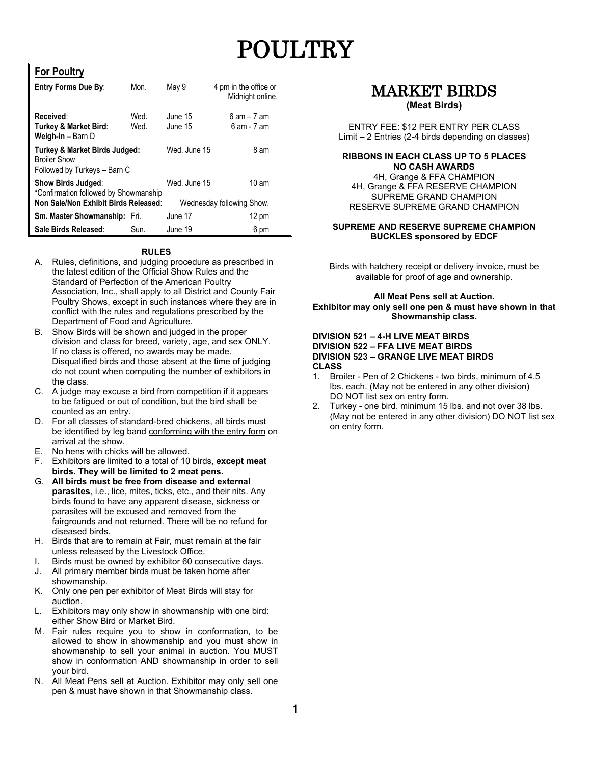# POULTRY

#### **For Poultry**

| <b>Entry Forms Due By:</b>                                                                                 | Mon.         | May 9              | 4 pm in the office or<br>Midnight online.    |
|------------------------------------------------------------------------------------------------------------|--------------|--------------------|----------------------------------------------|
| Received:<br>Turkey & Market Bird:<br>Weigh-in - Barn D                                                    | Wed.<br>Wed. | June 15<br>June 15 | $6$ am $-7$ am<br>$6$ am - $7$ am            |
| <b>Turkey &amp; Market Birds Judged:</b><br><b>Broiler Show</b><br>Followed by Turkeys - Barn C            |              | Wed. June 15       | 8 am                                         |
| <b>Show Birds Judged:</b><br>*Confirmation followed by Showmanship<br>Non Sale/Non Exhibit Birds Released: |              | Wed. June 15       | $10 \text{ am}$<br>Wednesday following Show. |
| <b>Sm. Master Showmanship:</b> Fri.                                                                        |              | June 17            | $12 \text{ pm}$                              |
| Sale Birds Released:                                                                                       | Sun.         | June 19            | 6 pm                                         |

#### **RULES**

- A. Rules, definitions, and judging procedure as prescribed in the latest edition of the Official Show Rules and the Standard of Perfection of the American Poultry Association, Inc., shall apply to all District and County Fair Poultry Shows, except in such instances where they are in conflict with the rules and regulations prescribed by the Department of Food and Agriculture.
- B. Show Birds will be shown and judged in the proper division and class for breed, variety, age, and sex ONLY. If no class is offered, no awards may be made. Disqualified birds and those absent at the time of judging do not count when computing the number of exhibitors in the class.
- C. A judge may excuse a bird from competition if it appears to be fatigued or out of condition, but the bird shall be counted as an entry.
- D. For all classes of standard-bred chickens, all birds must be identified by leg band conforming with the entry form on arrival at the show.
- E. No hens with chicks will be allowed.
- F. Exhibitors are limited to a total of 10 birds, **except meat birds. They will be limited to 2 meat pens.**
- G. **All birds must be free from disease and external parasites**, i.e., lice, mites, ticks, etc., and their nits. Any birds found to have any apparent disease, sickness or parasites will be excused and removed from the fairgrounds and not returned. There will be no refund for diseased birds.
- H. Birds that are to remain at Fair, must remain at the fair unless released by the Livestock Office.
- I. Birds must be owned by exhibitor 60 consecutive days.
- J. All primary member birds must be taken home after showmanship.
- K. Only one pen per exhibitor of Meat Birds will stay for auction.
- L. Exhibitors may only show in showmanship with one bird: either Show Bird or Market Bird.
- M. Fair rules require you to show in conformation, to be allowed to show in showmanship and you must show in showmanship to sell your animal in auction. You MUST show in conformation AND showmanship in order to sell your bird.
- N. All Meat Pens sell at Auction. Exhibitor may only sell one pen & must have shown in that Showmanship class.

### MARKET BIRDS **(Meat Birds)**

#### ENTRY FEE: \$12 PER ENTRY PER CLASS Limit – 2 Entries (2-4 birds depending on classes)

#### **RIBBONS IN EACH CLASS UP TO 5 PLACES NO CASH AWARDS**

4H, Grange & FFA CHAMPION 4H, Grange & FFA RESERVE CHAMPION SUPREME GRAND CHAMPION RESERVE SUPREME GRAND CHAMPION

#### **SUPREME AND RESERVE SUPREME CHAMPION BUCKLES sponsored by EDCF**

Birds with hatchery receipt or delivery invoice, must be available for proof of age and ownership.

#### **All Meat Pens sell at Auction. Exhibitor may only sell one pen & must have shown in that Showmanship class.**

#### **DIVISION 521 – 4-H LIVE MEAT BIRDS DIVISION 522 – FFA LIVE MEAT BIRDS DIVISION 523 – GRANGE LIVE MEAT BIRDS CLASS**

- 1. Broiler Pen of 2 Chickens two birds, minimum of 4.5 lbs. each. (May not be entered in any other division) DO NOT list sex on entry form.
- 2. Turkey one bird, minimum 15 lbs. and not over 38 lbs. (May not be entered in any other division) DO NOT list sex on entry form.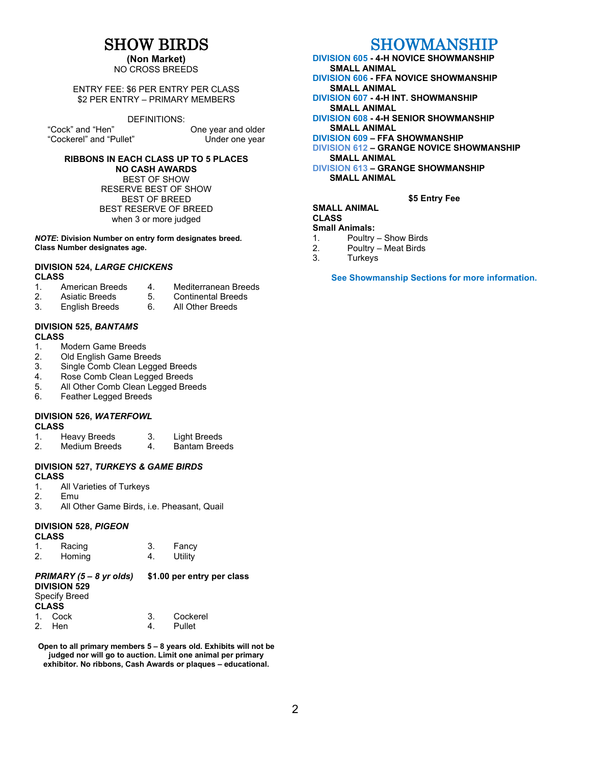### SHOW BIRDS

### **(Non Market)**

NO CROSS BREEDS

#### ENTRY FEE: \$6 PER ENTRY PER CLASS \$2 PER ENTRY – PRIMARY MEMBERS

#### DEFINITIONS:

"Cock" and "Hen" One year and older "Cockerel" and "Pullet" Under one year

#### **RIBBONS IN EACH CLASS UP TO 5 PLACES**

**NO CASH AWARDS** BEST OF SHOW RESERVE BEST OF SHOW BEST OF BREED BEST RESERVE OF BREED when 3 or more judged

*NOTE***: Division Number on entry form designates breed. Class Number designates age.**

### **DIVISION 524,** *LARGE CHICKENS* **CLASS**<br>1. American Breeds

- 
- 
- 1. American Breeds 4. Mediterranean Breeds<br>2. Asiatic Breeds 5. Continental Breeds
- English Breeds
- 2. Asiatic Breeds 5. Continental Breeds<br>3. English Breeds 6. All Other Breeds

#### **DIVISION 525,** *BANTAMS* **CLASS**

- 
- 1. Modern Game Breeds<br>2. Old English Game Bre
- 2. Old English Game Breeds<br>3. Single Comb Clean Legge Single Comb Clean Legged Breeds
- 4. Rose Comb Clean Legged Breeds
- 5. All Other Comb Clean Legged Breeds
- 6. Feather Legged Breeds

#### **DIVISION 526,** *WATERFOWL* **CLASS**

|  | Heavy Breeds |  | <b>Light Breeds</b> |
|--|--------------|--|---------------------|
|--|--------------|--|---------------------|

2. Medium Breeds 4. Bantam Breeds

### **DIVISION 527,** *TURKEYS & GAME BIRDS* **CLASS**<br>1. A

- All Varieties of Turkeys
- 
- 2. Emu<br>3. All O All Other Game Birds, i.e. Pheasant, Quail

#### **DIVISION 528,** *PIGEON*

1. Racing 3. Fancy Homing

### *PRIMARY (5 – 8 yr olds)* **\$1.00 per entry per class**

**DIVISION 529** Specify Breed **CL**<br>1.

| CLASS |         |  |             |  |
|-------|---------|--|-------------|--|
|       | 1. Cock |  | 3. Cockerel |  |
|       | 2. Hen  |  | 4. Pullet   |  |

**Open to all primary members 5 – 8 years old. Exhibits will not be judged nor will go to auction. Limit one animal per primary exhibitor. No ribbons, Cash Awards or plaques – educational.**

### SHOWMANSHIP

#### **DIVISION 605 - 4-H NOVICE SHOWMANSHIP SMALL ANIMAL**

- **DIVISION 606 - FFA NOVICE SHOWMANSHIP SMALL ANIMAL**
- **DIVISION 607 - 4-H INT. SHOWMANSHIP SMALL ANIMAL**
- **DIVISION 608 - 4-H SENIOR SHOWMANSHIP SMALL ANIMAL**
- **DIVISION 609 – FFA SHOWMANSHIP**

**DIVISION 612 – GRANGE NOVICE SHOWMANSHIP SMALL ANIMAL**

**DIVISION 613 – GRANGE SHOWMANSHIP SMALL ANIMAL**

### **\$5 Entry Fee**

### **SMALL ANIMAL**

### **CLASS**

- **Small Animals:**<br>1 **Poultry**
- 1. Poultry Show Birds<br>2. Poultry Meat Birds Poultry – Meat Birds
- 3. Turkeys
- 

**See Showmanship Sections for more information.**